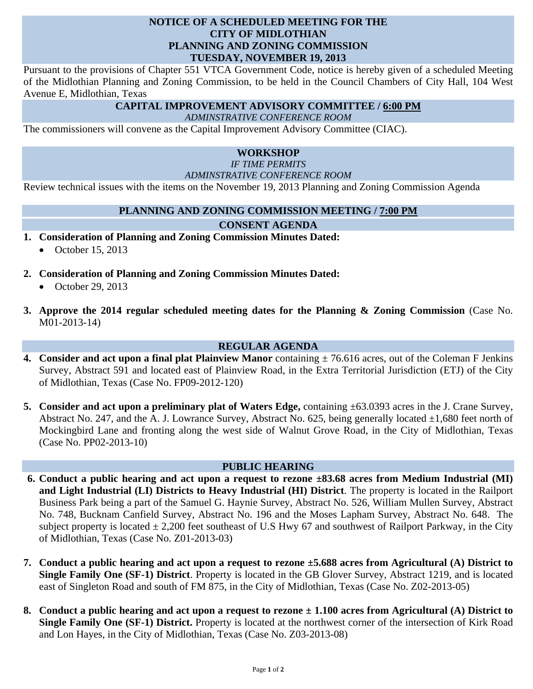# **NOTICE OF A SCHEDULED MEETING FOR THE CITY OF MIDLOTHIAN PLANNING AND ZONING COMMISSION TUESDAY, NOVEMBER 19, 2013**

Pursuant to the provisions of Chapter 551 VTCA Government Code, notice is hereby given of a scheduled Meeting of the Midlothian Planning and Zoning Commission, to be held in the Council Chambers of City Hall, 104 West Avenue E, Midlothian, Texas

# **CAPITAL IMPROVEMENT ADVISORY COMMITTEE / 6:00 PM**

*ADMINSTRATIVE CONFERENCE ROOM*

The commissioners will convene as the Capital Improvement Advisory Committee (CIAC).

### **WORKSHOP**

*IF TIME PERMITS* 

*ADMINSTRATIVE CONFERENCE ROOM* 

Review technical issues with the items on the November 19, 2013 Planning and Zoning Commission Agenda

### **PLANNING AND ZONING COMMISSION MEETING / 7:00 PM**

### **CONSENT AGENDA**

- **1. Consideration of Planning and Zoning Commission Minutes Dated:** 
	- $\bullet$  October 15, 2013
- **2. Consideration of Planning and Zoning Commission Minutes Dated:** 
	- $\bullet$  October 29, 2013
- **3. Approve the 2014 regular scheduled meeting dates for the Planning & Zoning Commission** (Case No. M01-2013-14)

### **REGULAR AGENDA**

- **4. Consider and act upon a final plat Plainview Manor** containing  $\pm$  76.616 acres, out of the Coleman F Jenkins Survey, Abstract 591 and located east of Plainview Road, in the Extra Territorial Jurisdiction (ETJ) of the City of Midlothian, Texas (Case No. FP09-2012-120)
- **5. Consider and act upon a preliminary plat of Waters Edge,** containing ±63.0393 acres in the J. Crane Survey, Abstract No. 247, and the A. J. Lowrance Survey, Abstract No. 625, being generally located  $\pm 1,680$  feet north of Mockingbird Lane and fronting along the west side of Walnut Grove Road, in the City of Midlothian, Texas (Case No. PP02-2013-10)

### **PUBLIC HEARING**

- **6. Conduct a public hearing and act upon a request to rezone ±83.68 acres from Medium Industrial (MI) and Light Industrial (LI) Districts to Heavy Industrial (HI) District**. The property is located in the Railport Business Park being a part of the Samuel G. Haynie Survey, Abstract No. 526, William Mullen Survey, Abstract No. 748, Bucknam Canfield Survey, Abstract No. 196 and the Moses Lapham Survey, Abstract No. 648. The subject property is located  $\pm 2,200$  feet southeast of U.S Hwy 67 and southwest of Railport Parkway, in the City of Midlothian, Texas (Case No. Z01-2013-03)
- **7. Conduct a public hearing and act upon a request to rezone ±5.688 acres from Agricultural (A) District to Single Family One (SF-1) District**. Property is located in the GB Glover Survey, Abstract 1219, and is located east of Singleton Road and south of FM 875, in the City of Midlothian, Texas (Case No. Z02-2013-05)
- **8. Conduct a public hearing and act upon a request to rezone ± 1.100 acres from Agricultural (A) District to Single Family One (SF-1) District.** Property is located at the northwest corner of the intersection of Kirk Road and Lon Hayes, in the City of Midlothian, Texas (Case No. Z03-2013-08)